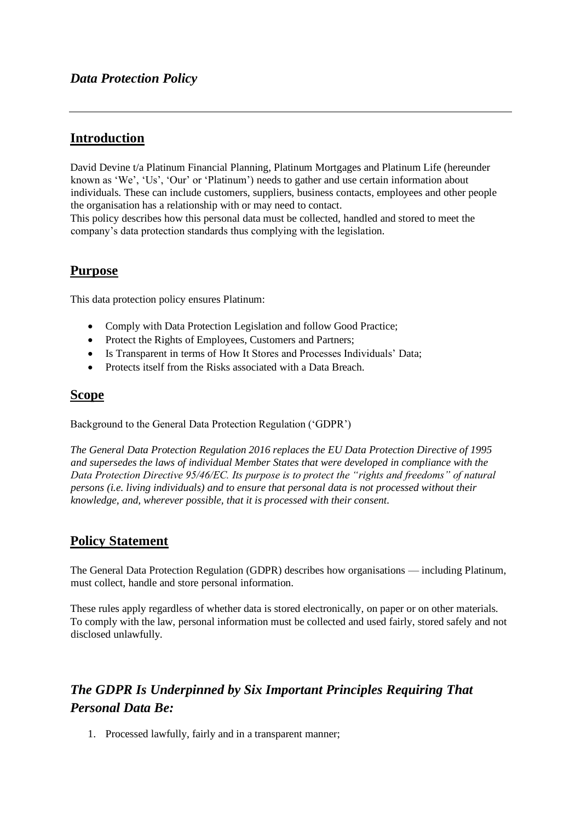## **Introduction**

David Devine t/a Platinum Financial Planning, Platinum Mortgages and Platinum Life (hereunder known as 'We', 'Us', 'Our' or 'Platinum') needs to gather and use certain information about individuals. These can include customers, suppliers, business contacts, employees and other people the organisation has a relationship with or may need to contact.

This policy describes how this personal data must be collected, handled and stored to meet the company's data protection standards thus complying with the legislation.

## **Purpose**

This data protection policy ensures Platinum:

- Comply with Data Protection Legislation and follow Good Practice;
- Protect the Rights of Employees, Customers and Partners;
- Is Transparent in terms of How It Stores and Processes Individuals' Data;
- Protects itself from the Risks associated with a Data Breach.

## **Scope**

Background to the General Data Protection Regulation ('GDPR')

*The General Data Protection Regulation 2016 replaces the EU Data Protection Directive of 1995 and supersedes the laws of individual Member States that were developed in compliance with the Data Protection Directive 95/46/EC. Its purpose is to protect the "rights and freedoms" of natural persons (i.e. living individuals) and to ensure that personal data is not processed without their knowledge, and, wherever possible, that it is processed with their consent.* 

## **Policy Statement**

The General Data Protection Regulation (GDPR) describes how organisations — including Platinum, must collect, handle and store personal information.

These rules apply regardless of whether data is stored electronically, on paper or on other materials. To comply with the law, personal information must be collected and used fairly, stored safely and not disclosed unlawfully.

# *The GDPR Is Underpinned by Six Important Principles Requiring That Personal Data Be:*

1. Processed lawfully, fairly and in a transparent manner;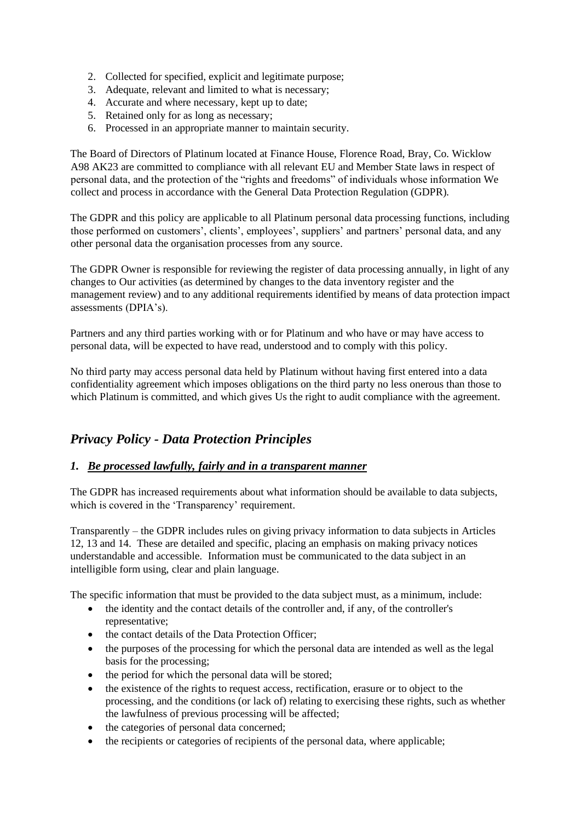- 2. Collected for specified, explicit and legitimate purpose;
- 3. Adequate, relevant and limited to what is necessary;
- 4. Accurate and where necessary, kept up to date;
- 5. Retained only for as long as necessary;
- 6. Processed in an appropriate manner to maintain security.

The Board of Directors of Platinum located at Finance House, Florence Road, Bray, Co. Wicklow A98 AK23 are committed to compliance with all relevant EU and Member State laws in respect of personal data, and the protection of the "rights and freedoms" of individuals whose information We collect and process in accordance with the General Data Protection Regulation (GDPR).

The GDPR and this policy are applicable to all Platinum personal data processing functions, including those performed on customers', clients', employees', suppliers' and partners' personal data, and any other personal data the organisation processes from any source.

The GDPR Owner is responsible for reviewing the register of data processing annually, in light of any changes to Our activities (as determined by changes to the data inventory register and the management review) and to any additional requirements identified by means of data protection impact assessments (DPIA's).

Partners and any third parties working with or for Platinum and who have or may have access to personal data, will be expected to have read, understood and to comply with this policy.

No third party may access personal data held by Platinum without having first entered into a data confidentiality agreement which imposes obligations on the third party no less onerous than those to which Platinum is committed, and which gives Us the right to audit compliance with the agreement.

## *Privacy Policy - Data Protection Principles*

## *1. Be processed lawfully, fairly and in a transparent manner*

The GDPR has increased requirements about what information should be available to data subjects, which is covered in the 'Transparency' requirement.

Transparently – the GDPR includes rules on giving privacy information to data subjects in Articles 12, 13 and 14. These are detailed and specific, placing an emphasis on making privacy notices understandable and accessible. Information must be communicated to the data subject in an intelligible form using, clear and plain language.

The specific information that must be provided to the data subject must, as a minimum, include:

- the identity and the contact details of the controller and, if any, of the controller's representative;
- the contact details of the Data Protection Officer;
- the purposes of the processing for which the personal data are intended as well as the legal basis for the processing;
- the period for which the personal data will be stored;
- the existence of the rights to request access, rectification, erasure or to object to the processing, and the conditions (or lack of) relating to exercising these rights, such as whether the lawfulness of previous processing will be affected;
- the categories of personal data concerned;
- the recipients or categories of recipients of the personal data, where applicable;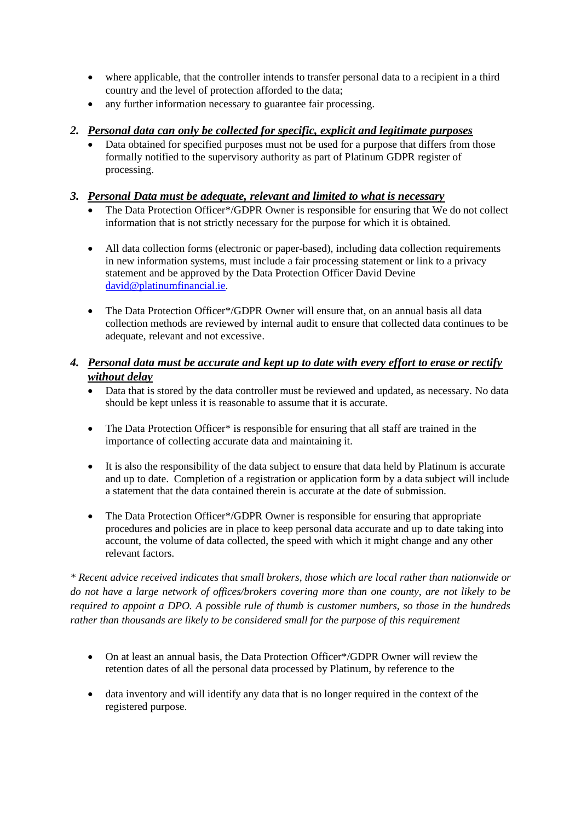- where applicable, that the controller intends to transfer personal data to a recipient in a third country and the level of protection afforded to the data;
- any further information necessary to guarantee fair processing.

## *2. Personal data can only be collected for specific, explicit and legitimate purposes*

Data obtained for specified purposes must not be used for a purpose that differs from those formally notified to the supervisory authority as part of Platinum GDPR register of processing.

## *3. Personal Data must be adequate, relevant and limited to what is necessary*

- The Data Protection Officer\*/GDPR Owner is responsible for ensuring that We do not collect information that is not strictly necessary for the purpose for which it is obtained.
- All data collection forms (electronic or paper-based), including data collection requirements in new information systems, must include a fair processing statement or link to a privacy statement and be approved by the Data Protection Officer David Devine [david@platinumfinancial.ie.](mailto:david@platinumfinancial.ie)
- The Data Protection Officer\*/GDPR Owner will ensure that, on an annual basis all data collection methods are reviewed by internal audit to ensure that collected data continues to be adequate, relevant and not excessive.

## *4. Personal data must be accurate and kept up to date with every effort to erase or rectify without delay*

- Data that is stored by the data controller must be reviewed and updated, as necessary. No data should be kept unless it is reasonable to assume that it is accurate.
- The Data Protection Officer\* is responsible for ensuring that all staff are trained in the importance of collecting accurate data and maintaining it.
- It is also the responsibility of the data subject to ensure that data held by Platinum is accurate and up to date. Completion of a registration or application form by a data subject will include a statement that the data contained therein is accurate at the date of submission.
- The Data Protection Officer\*/GDPR Owner is responsible for ensuring that appropriate procedures and policies are in place to keep personal data accurate and up to date taking into account, the volume of data collected, the speed with which it might change and any other relevant factors.

*\* Recent advice received indicates that small brokers, those which are local rather than nationwide or do not have a large network of offices/brokers covering more than one county, are not likely to be required to appoint a DPO. A possible rule of thumb is customer numbers, so those in the hundreds rather than thousands are likely to be considered small for the purpose of this requirement*

- On at least an annual basis, the Data Protection Officer\*/GDPR Owner will review the retention dates of all the personal data processed by Platinum, by reference to the
- data inventory and will identify any data that is no longer required in the context of the registered purpose.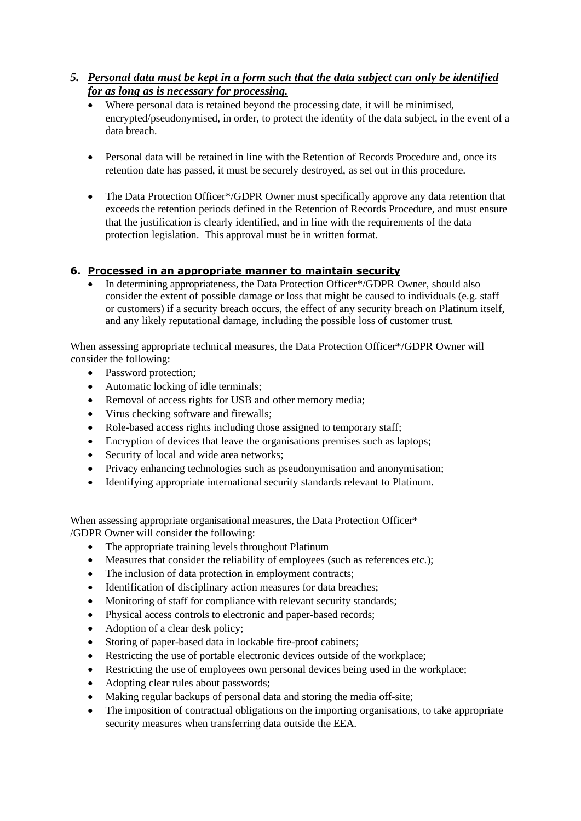## *5. Personal data must be kept in a form such that the data subject can only be identified for as long as is necessary for processing.*

- Where personal data is retained beyond the processing date, it will be minimised, encrypted/pseudonymised, in order, to protect the identity of the data subject, in the event of a data breach.
- Personal data will be retained in line with the Retention of Records Procedure and, once its retention date has passed, it must be securely destroyed, as set out in this procedure.
- The Data Protection Officer\*/GDPR Owner must specifically approve any data retention that exceeds the retention periods defined in the Retention of Records Procedure, and must ensure that the justification is clearly identified, and in line with the requirements of the data protection legislation. This approval must be in written format.

## **6. Processed in an appropriate manner to maintain security**

• In determining appropriateness, the Data Protection Officer\*/GDPR Owner, should also consider the extent of possible damage or loss that might be caused to individuals (e.g. staff or customers) if a security breach occurs, the effect of any security breach on Platinum itself, and any likely reputational damage, including the possible loss of customer trust.

When assessing appropriate technical measures, the Data Protection Officer\*/GDPR Owner will consider the following:

- Password protection;
- Automatic locking of idle terminals;
- Removal of access rights for USB and other memory media;
- Virus checking software and firewalls;
- Role-based access rights including those assigned to temporary staff;
- Encryption of devices that leave the organisations premises such as laptops;
- Security of local and wide area networks;
- Privacy enhancing technologies such as pseudonymisation and anonymisation;
- Identifying appropriate international security standards relevant to Platinum.

When assessing appropriate organisational measures, the Data Protection Officer\* /GDPR Owner will consider the following:

- The appropriate training levels throughout Platinum
- Measures that consider the reliability of employees (such as references etc.);
- The inclusion of data protection in employment contracts;
- Identification of disciplinary action measures for data breaches;
- Monitoring of staff for compliance with relevant security standards;
- Physical access controls to electronic and paper-based records;
- Adoption of a clear desk policy;
- Storing of paper-based data in lockable fire-proof cabinets;
- Restricting the use of portable electronic devices outside of the workplace;
- Restricting the use of employees own personal devices being used in the workplace;
- Adopting clear rules about passwords;
- Making regular backups of personal data and storing the media off-site;
- The imposition of contractual obligations on the importing organisations, to take appropriate security measures when transferring data outside the EEA.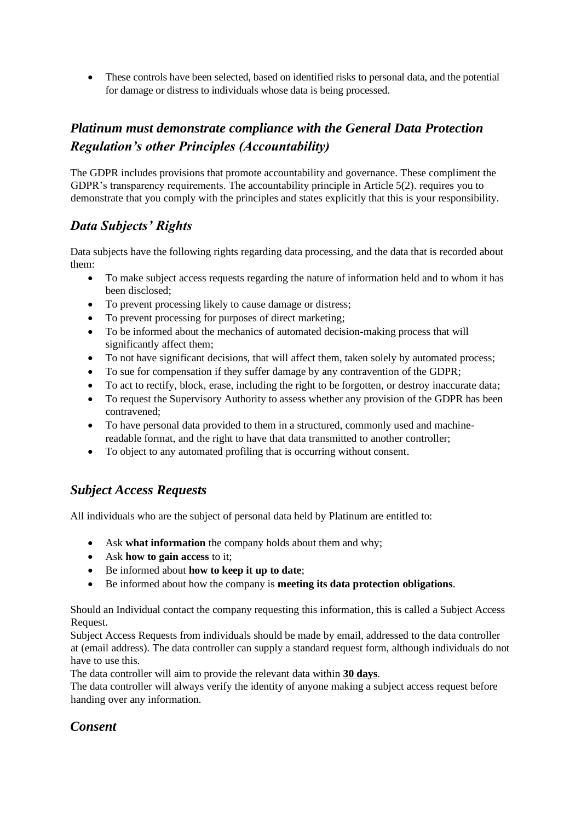• These controls have been selected, based on identified risks to personal data, and the potential for damage or distress to individuals whose data is being processed.

# *Platinum must demonstrate compliance with the General Data Protection Regulation's other Principles (Accountability)*

The GDPR includes provisions that promote accountability and governance. These compliment the GDPR's transparency requirements. The accountability principle in Article 5(2). requires you to demonstrate that you comply with the principles and states explicitly that this is your responsibility.

# *Data Subjects' Rights*

Data subjects have the following rights regarding data processing, and the data that is recorded about them:

- To make subject access requests regarding the nature of information held and to whom it has been disclosed;
- To prevent processing likely to cause damage or distress;
- To prevent processing for purposes of direct marketing;
- To be informed about the mechanics of automated decision-making process that will significantly affect them;
- To not have significant decisions, that will affect them, taken solely by automated process;
- To sue for compensation if they suffer damage by any contravention of the GDPR;
- To act to rectify, block, erase, including the right to be forgotten, or destroy inaccurate data;
- To request the Supervisory Authority to assess whether any provision of the GDPR has been contravened;
- To have personal data provided to them in a structured, commonly used and machinereadable format, and the right to have that data transmitted to another controller;
- To object to any automated profiling that is occurring without consent.

# *Subject Access Requests*

All individuals who are the subject of personal data held by Platinum are entitled to:

- Ask **what information** the company holds about them and why;
- Ask **how to gain access** to it;
- Be informed about **how to keep it up to date**;
- Be informed about how the company is **meeting its data protection obligations**.

Should an Individual contact the company requesting this information, this is called a Subject Access Request.

Subject Access Requests from individuals should be made by email, addressed to the data controller at (email address). The data controller can supply a standard request form, although individuals do not have to use this.

The data controller will aim to provide the relevant data within **30 days**.

The data controller will always verify the identity of anyone making a subject access request before handing over any information.

# *Consent*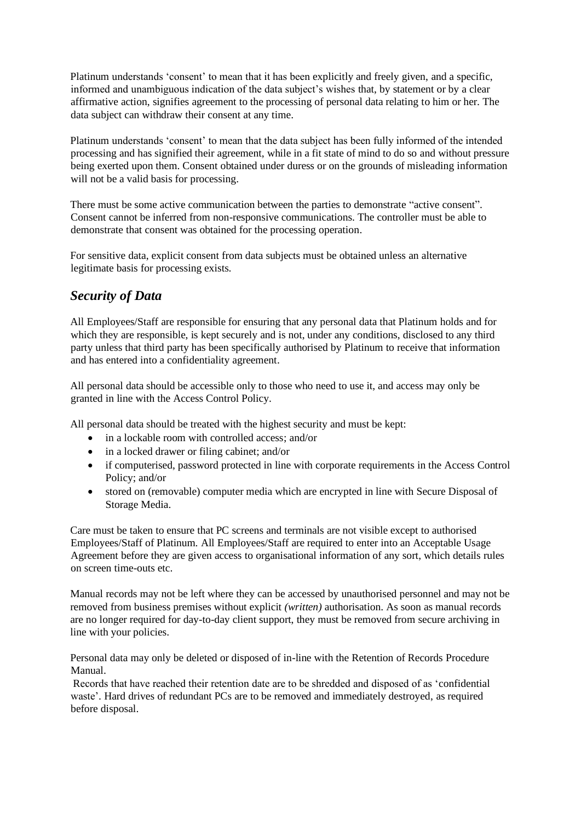Platinum understands 'consent' to mean that it has been explicitly and freely given, and a specific, informed and unambiguous indication of the data subject's wishes that, by statement or by a clear affirmative action, signifies agreement to the processing of personal data relating to him or her. The data subject can withdraw their consent at any time.

Platinum understands 'consent' to mean that the data subject has been fully informed of the intended processing and has signified their agreement, while in a fit state of mind to do so and without pressure being exerted upon them. Consent obtained under duress or on the grounds of misleading information will not be a valid basis for processing.

There must be some active communication between the parties to demonstrate "active consent". Consent cannot be inferred from non-responsive communications. The controller must be able to demonstrate that consent was obtained for the processing operation.

For sensitive data, explicit consent from data subjects must be obtained unless an alternative legitimate basis for processing exists.

# *Security of Data*

All Employees/Staff are responsible for ensuring that any personal data that Platinum holds and for which they are responsible, is kept securely and is not, under any conditions, disclosed to any third party unless that third party has been specifically authorised by Platinum to receive that information and has entered into a confidentiality agreement.

All personal data should be accessible only to those who need to use it, and access may only be granted in line with the Access Control Policy.

All personal data should be treated with the highest security and must be kept:

- in a lockable room with controlled access: and/or
- in a locked drawer or filing cabinet; and/or
- if computerised, password protected in line with corporate requirements in the Access Control Policy; and/or
- stored on (removable) computer media which are encrypted in line with Secure Disposal of Storage Media.

Care must be taken to ensure that PC screens and terminals are not visible except to authorised Employees/Staff of Platinum. All Employees/Staff are required to enter into an Acceptable Usage Agreement before they are given access to organisational information of any sort, which details rules on screen time-outs etc.

Manual records may not be left where they can be accessed by unauthorised personnel and may not be removed from business premises without explicit *(written)* authorisation. As soon as manual records are no longer required for day-to-day client support, they must be removed from secure archiving in line with your policies.

Personal data may only be deleted or disposed of in-line with the Retention of Records Procedure Manual.

Records that have reached their retention date are to be shredded and disposed of as 'confidential waste'. Hard drives of redundant PCs are to be removed and immediately destroyed, as required before disposal.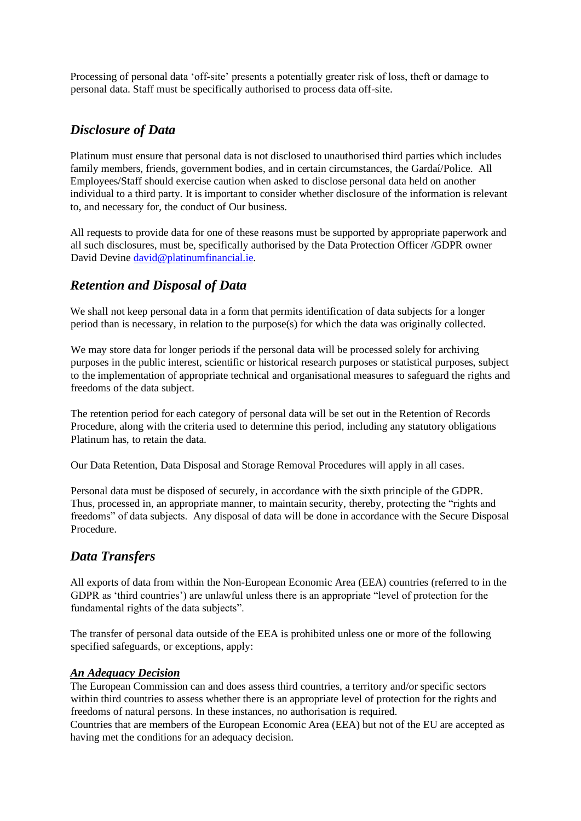Processing of personal data 'off-site' presents a potentially greater risk of loss, theft or damage to personal data. Staff must be specifically authorised to process data off-site.

## *Disclosure of Data*

Platinum must ensure that personal data is not disclosed to unauthorised third parties which includes family members, friends, government bodies, and in certain circumstances, the Gardaí/Police. All Employees/Staff should exercise caution when asked to disclose personal data held on another individual to a third party. It is important to consider whether disclosure of the information is relevant to, and necessary for, the conduct of Our business.

All requests to provide data for one of these reasons must be supported by appropriate paperwork and all such disclosures, must be, specifically authorised by the Data Protection Officer /GDPR owner David Devin[e david@platinumfinancial.ie.](mailto:david@platinumfinancial.ie)

# *Retention and Disposal of Data*

We shall not keep personal data in a form that permits identification of data subjects for a longer period than is necessary, in relation to the purpose(s) for which the data was originally collected.

We may store data for longer periods if the personal data will be processed solely for archiving purposes in the public interest, scientific or historical research purposes or statistical purposes, subject to the implementation of appropriate technical and organisational measures to safeguard the rights and freedoms of the data subject.

The retention period for each category of personal data will be set out in the Retention of Records Procedure, along with the criteria used to determine this period, including any statutory obligations Platinum has, to retain the data.

Our Data Retention, Data Disposal and Storage Removal Procedures will apply in all cases.

Personal data must be disposed of securely, in accordance with the sixth principle of the GDPR. Thus, processed in, an appropriate manner, to maintain security, thereby, protecting the "rights and freedoms" of data subjects. Any disposal of data will be done in accordance with the Secure Disposal Procedure.

# *Data Transfers*

All exports of data from within the Non-European Economic Area (EEA) countries (referred to in the GDPR as 'third countries') are unlawful unless there is an appropriate "level of protection for the fundamental rights of the data subjects".

The transfer of personal data outside of the EEA is prohibited unless one or more of the following specified safeguards, or exceptions, apply:

## *An Adequacy Decision*

The European Commission can and does assess third countries, a territory and/or specific sectors within third countries to assess whether there is an appropriate level of protection for the rights and freedoms of natural persons. In these instances, no authorisation is required.

Countries that are members of the European Economic Area (EEA) but not of the EU are accepted as having met the conditions for an adequacy decision.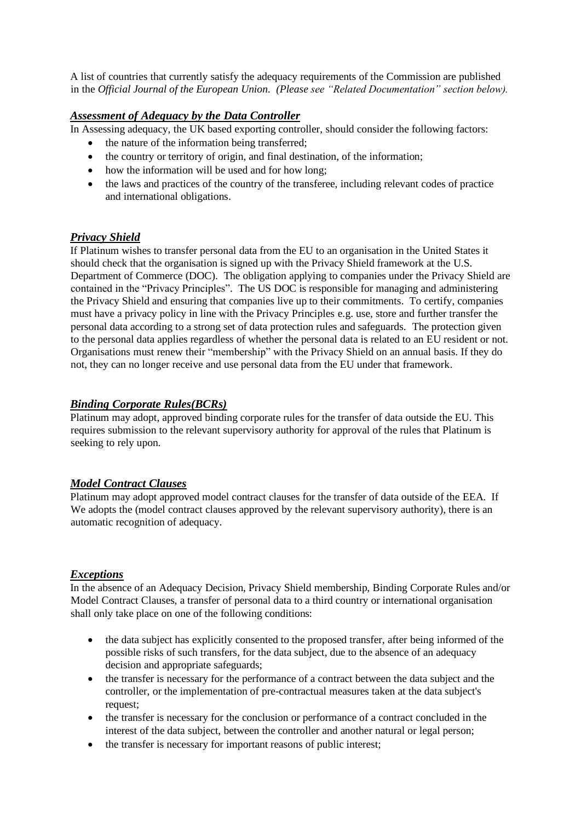A list of countries that currently satisfy the adequacy requirements of the Commission are published in the *Official Journal of the European Union. (Please see "Related Documentation" section below).*

## *Assessment of Adequacy by the Data Controller*

In Assessing adequacy, the UK based exporting controller, should consider the following factors:

- the nature of the information being transferred;
- the country or territory of origin, and final destination, of the information;
- how the information will be used and for how long;
- the laws and practices of the country of the transferee, including relevant codes of practice and international obligations.

## *Privacy Shield*

If Platinum wishes to transfer personal data from the EU to an organisation in the United States it should check that the organisation is signed up with the Privacy Shield framework at the U.S. Department of Commerce (DOC). The obligation applying to companies under the Privacy Shield are contained in the "Privacy Principles". The US DOC is responsible for managing and administering the Privacy Shield and ensuring that companies live up to their commitments. To certify, companies must have a privacy policy in line with the Privacy Principles e.g. use, store and further transfer the personal data according to a strong set of data protection rules and safeguards. The protection given to the personal data applies regardless of whether the personal data is related to an EU resident or not. Organisations must renew their "membership" with the Privacy Shield on an annual basis. If they do not, they can no longer receive and use personal data from the EU under that framework.

### *Binding Corporate Rules(BCRs)*

Platinum may adopt, approved binding corporate rules for the transfer of data outside the EU. This requires submission to the relevant supervisory authority for approval of the rules that Platinum is seeking to rely upon.

### *Model Contract Clauses*

Platinum may adopt approved model contract clauses for the transfer of data outside of the EEA. If We adopts the (model contract clauses approved by the relevant supervisory authority), there is an automatic recognition of adequacy.

### *Exceptions*

In the absence of an Adequacy Decision, Privacy Shield membership, Binding Corporate Rules and/or Model Contract Clauses, a transfer of personal data to a third country or international organisation shall only take place on one of the following conditions:

- the data subject has explicitly consented to the proposed transfer, after being informed of the possible risks of such transfers, for the data subject, due to the absence of an adequacy decision and appropriate safeguards;
- the transfer is necessary for the performance of a contract between the data subject and the controller, or the implementation of pre-contractual measures taken at the data subject's request;
- the transfer is necessary for the conclusion or performance of a contract concluded in the interest of the data subject, between the controller and another natural or legal person;
- the transfer is necessary for important reasons of public interest;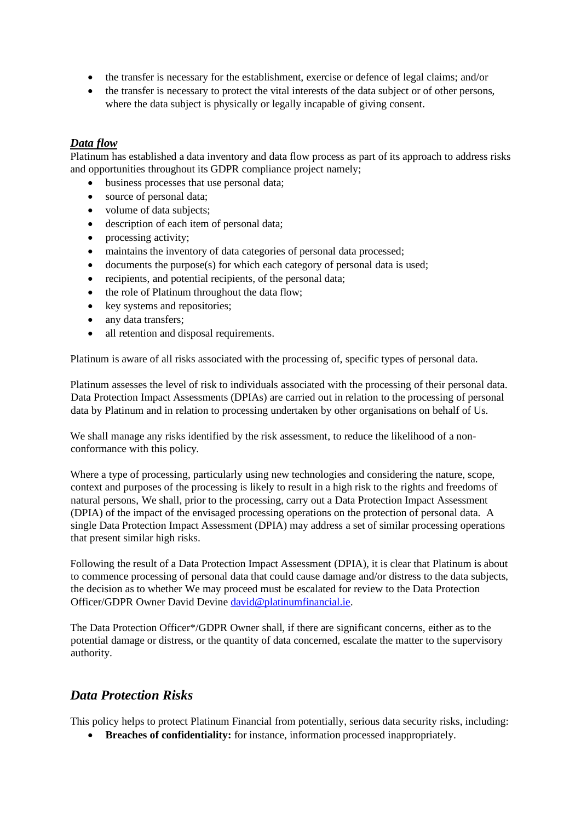- the transfer is necessary for the establishment, exercise or defence of legal claims; and/or
- the transfer is necessary to protect the vital interests of the data subject or of other persons, where the data subject is physically or legally incapable of giving consent.

### *Data flow*

Platinum has established a data inventory and data flow process as part of its approach to address risks and opportunities throughout its GDPR compliance project namely;

- business processes that use personal data;
- source of personal data;
- volume of data subjects:
- description of each item of personal data;
- processing activity;
- maintains the inventory of data categories of personal data processed;
- documents the purpose(s) for which each category of personal data is used;
- recipients, and potential recipients, of the personal data;
- the role of Platinum throughout the data flow;
- key systems and repositories:
- any data transfers;
- all retention and disposal requirements.

Platinum is aware of all risks associated with the processing of, specific types of personal data.

Platinum assesses the level of risk to individuals associated with the processing of their personal data. Data Protection Impact Assessments (DPIAs) are carried out in relation to the processing of personal data by Platinum and in relation to processing undertaken by other organisations on behalf of Us.

We shall manage any risks identified by the risk assessment, to reduce the likelihood of a nonconformance with this policy.

Where a type of processing, particularly using new technologies and considering the nature, scope, context and purposes of the processing is likely to result in a high risk to the rights and freedoms of natural persons, We shall, prior to the processing, carry out a Data Protection Impact Assessment (DPIA) of the impact of the envisaged processing operations on the protection of personal data. A single Data Protection Impact Assessment (DPIA) may address a set of similar processing operations that present similar high risks.

Following the result of a Data Protection Impact Assessment (DPIA), it is clear that Platinum is about to commence processing of personal data that could cause damage and/or distress to the data subjects, the decision as to whether We may proceed must be escalated for review to the Data Protection Officer/GDPR Owner David Devine [david@platinumfinancial.ie.](mailto:david@platinumfinancial.ie)

The Data Protection Officer\*/GDPR Owner shall, if there are significant concerns, either as to the potential damage or distress, or the quantity of data concerned, escalate the matter to the supervisory authority.

## *Data Protection Risks*

This policy helps to protect Platinum Financial from potentially, serious data security risks, including:

• **Breaches of confidentiality:** for instance, information processed inappropriately.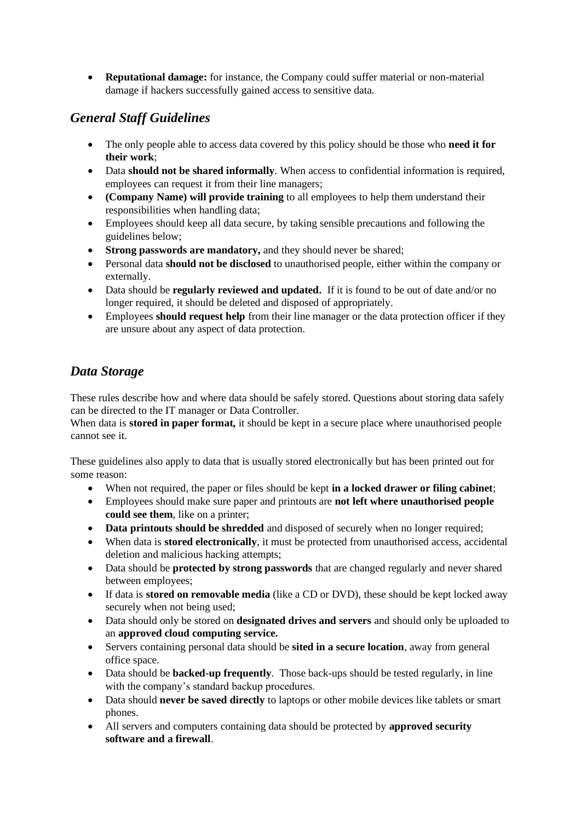• **Reputational damage:** for instance, the Company could suffer material or non-material damage if hackers successfully gained access to sensitive data.

# *General Staff Guidelines*

- The only people able to access data covered by this policy should be those who **need it for their work**;
- Data **should not be shared informally**. When access to confidential information is required, employees can request it from their line managers;
- **(Company Name) will provide training** to all employees to help them understand their responsibilities when handling data;
- Employees should keep all data secure, by taking sensible precautions and following the guidelines below;
- **Strong passwords are mandatory,** and they should never be shared;
- Personal data **should not be disclosed** to unauthorised people, either within the company or externally.
- Data should be **regularly reviewed and updated.** If it is found to be out of date and/or no longer required, it should be deleted and disposed of appropriately.
- Employees **should request help** from their line manager or the data protection officer if they are unsure about any aspect of data protection.

# *Data Storage*

These rules describe how and where data should be safely stored. Questions about storing data safely can be directed to the IT manager or Data Controller.

When data is **stored in paper format**, it should be kept in a secure place where unauthorised people cannot see it.

These guidelines also apply to data that is usually stored electronically but has been printed out for some reason:

- When not required, the paper or files should be kept **in a locked drawer or filing cabinet**;
- Employees should make sure paper and printouts are **not left where unauthorised people could see them**, like on a printer;
- **Data printouts should be shredded** and disposed of securely when no longer required;
- When data is **stored electronically**, it must be protected from unauthorised access, accidental deletion and malicious hacking attempts;
- Data should be **protected by strong passwords** that are changed regularly and never shared between employees;
- If data is **stored on removable media** (like a CD or DVD), these should be kept locked away securely when not being used;
- Data should only be stored on **designated drives and servers** and should only be uploaded to an **approved cloud computing service.**
- Servers containing personal data should be **sited in a secure location**, away from general office space.
- Data should be **backed-up frequently**. Those back-ups should be tested regularly, in line with the company's standard backup procedures.
- Data should **never be saved directly** to laptops or other mobile devices like tablets or smart phones.
- All servers and computers containing data should be protected by **approved security software and a firewall**.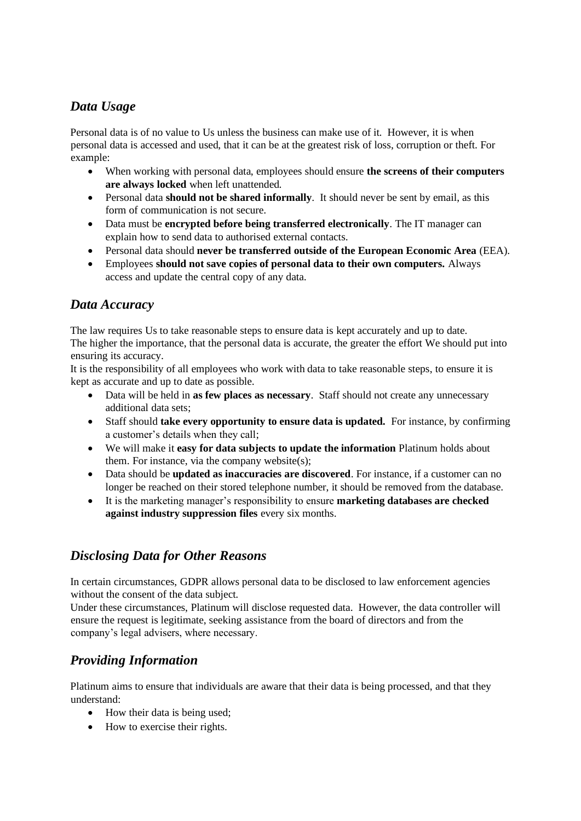# *Data Usage*

Personal data is of no value to Us unless the business can make use of it. However, it is when personal data is accessed and used, that it can be at the greatest risk of loss, corruption or theft. For example:

- When working with personal data, employees should ensure **the screens of their computers are always locked** when left unattended.
- Personal data **should not be shared informally**. It should never be sent by email, as this form of communication is not secure.
- Data must be **encrypted before being transferred electronically**. The IT manager can explain how to send data to authorised external contacts.
- Personal data should **never be transferred outside of the European Economic Area** (EEA).
- Employees **should not save copies of personal data to their own computers.** Always access and update the central copy of any data.

## *Data Accuracy*

The law requires Us to take reasonable steps to ensure data is kept accurately and up to date. The higher the importance, that the personal data is accurate, the greater the effort We should put into ensuring its accuracy.

It is the responsibility of all employees who work with data to take reasonable steps, to ensure it is kept as accurate and up to date as possible.

- Data will be held in **as few places as necessary**. Staff should not create any unnecessary additional data sets;
- Staff should **take every opportunity to ensure data is updated.** For instance, by confirming a customer's details when they call;
- We will make it **easy for data subjects to update the information** Platinum holds about them. For instance, via the company website(s);
- Data should be **updated as inaccuracies are discovered**. For instance, if a customer can no longer be reached on their stored telephone number, it should be removed from the database.
- It is the marketing manager's responsibility to ensure **marketing databases are checked against industry suppression files** every six months.

# *Disclosing Data for Other Reasons*

In certain circumstances, GDPR allows personal data to be disclosed to law enforcement agencies without the consent of the data subject.

Under these circumstances, Platinum will disclose requested data. However, the data controller will ensure the request is legitimate, seeking assistance from the board of directors and from the company's legal advisers, where necessary.

# *Providing Information*

Platinum aims to ensure that individuals are aware that their data is being processed, and that they understand:

- How their data is being used;
- How to exercise their rights.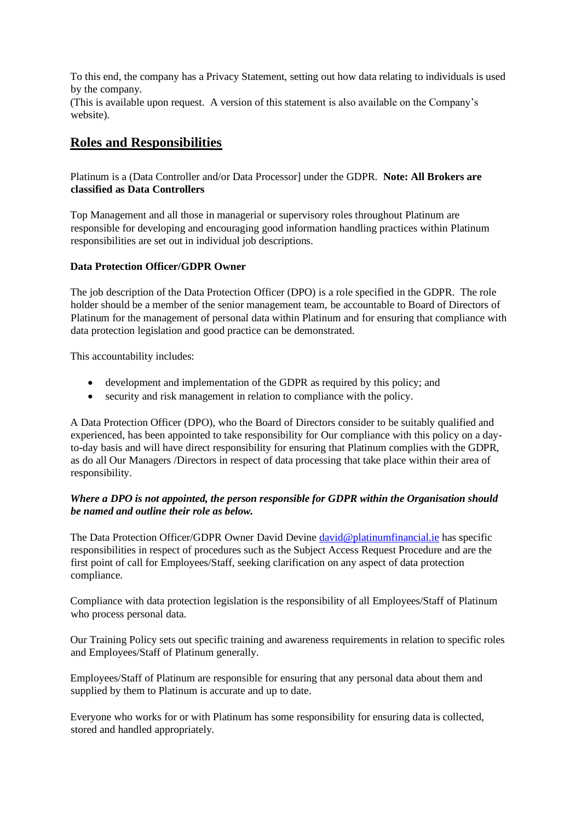To this end, the company has a Privacy Statement, setting out how data relating to individuals is used by the company.

(This is available upon request. A version of this statement is also available on the Company's website).

## **Roles and Responsibilities**

Platinum is a (Data Controller and/or Data Processor] under the GDPR. **Note: All Brokers are classified as Data Controllers**

Top Management and all those in managerial or supervisory roles throughout Platinum are responsible for developing and encouraging good information handling practices within Platinum responsibilities are set out in individual job descriptions.

### **Data Protection Officer/GDPR Owner**

The job description of the Data Protection Officer (DPO) is a role specified in the GDPR. The role holder should be a member of the senior management team, be accountable to Board of Directors of Platinum for the management of personal data within Platinum and for ensuring that compliance with data protection legislation and good practice can be demonstrated.

This accountability includes:

- development and implementation of the GDPR as required by this policy; and
- security and risk management in relation to compliance with the policy.

A Data Protection Officer (DPO), who the Board of Directors consider to be suitably qualified and experienced, has been appointed to take responsibility for Our compliance with this policy on a dayto-day basis and will have direct responsibility for ensuring that Platinum complies with the GDPR, as do all Our Managers /Directors in respect of data processing that take place within their area of responsibility.

### *Where a DPO is not appointed, the person responsible for GDPR within the Organisation should be named and outline their role as below.*

The Data Protection Officer/GDPR Owner David Devine [david@platinumfinancial.ie](mailto:david@platinumfinancial.ie) has specific responsibilities in respect of procedures such as the Subject Access Request Procedure and are the first point of call for Employees/Staff, seeking clarification on any aspect of data protection compliance.

Compliance with data protection legislation is the responsibility of all Employees/Staff of Platinum who process personal data.

Our Training Policy sets out specific training and awareness requirements in relation to specific roles and Employees/Staff of Platinum generally.

Employees/Staff of Platinum are responsible for ensuring that any personal data about them and supplied by them to Platinum is accurate and up to date.

Everyone who works for or with Platinum has some responsibility for ensuring data is collected, stored and handled appropriately.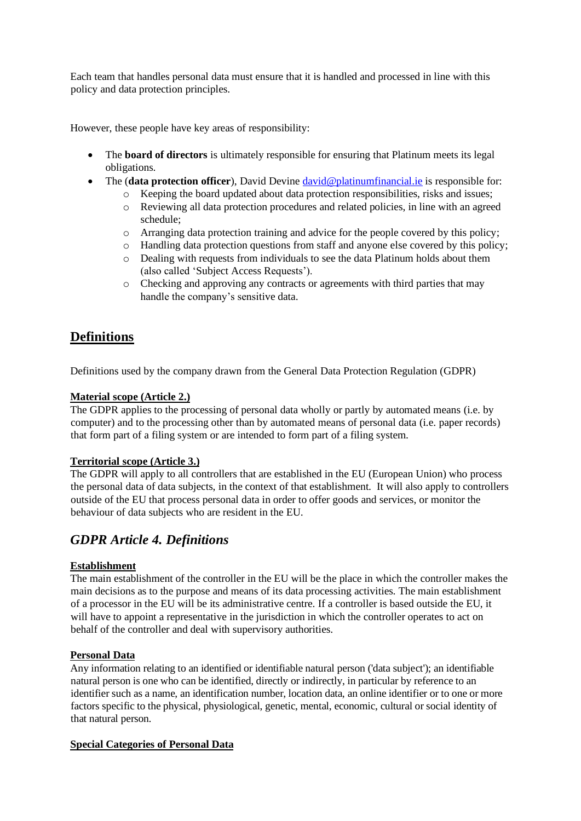Each team that handles personal data must ensure that it is handled and processed in line with this policy and data protection principles.

However, these people have key areas of responsibility:

- The **board of directors** is ultimately responsible for ensuring that Platinum meets its legal obligations.
- The (**data protection officer**), David Devine <u>david@platinumfinancial.ie</u> is responsible for:
	- o Keeping the board updated about data protection responsibilities, risks and issues;
		- o Reviewing all data protection procedures and related policies, in line with an agreed schedule;
		- o Arranging data protection training and advice for the people covered by this policy;
		- o Handling data protection questions from staff and anyone else covered by this policy;
		- o Dealing with requests from individuals to see the data Platinum holds about them (also called 'Subject Access Requests').
		- o Checking and approving any contracts or agreements with third parties that may handle the company's sensitive data.

# **Definitions**

Definitions used by the company drawn from the General Data Protection Regulation (GDPR)

### **Material scope (Article 2.)**

The GDPR applies to the processing of personal data wholly or partly by automated means (i.e. by computer) and to the processing other than by automated means of personal data (i.e. paper records) that form part of a filing system or are intended to form part of a filing system.

## **Territorial scope (Article 3.)**

The GDPR will apply to all controllers that are established in the EU (European Union) who process the personal data of data subjects, in the context of that establishment. It will also apply to controllers outside of the EU that process personal data in order to offer goods and services, or monitor the behaviour of data subjects who are resident in the EU.

## *GDPR Article 4. Definitions*

## **Establishment**

The main establishment of the controller in the EU will be the place in which the controller makes the main decisions as to the purpose and means of its data processing activities. The main establishment of a processor in the EU will be its administrative centre. If a controller is based outside the EU, it will have to appoint a representative in the jurisdiction in which the controller operates to act on behalf of the controller and deal with supervisory authorities.

## **Personal Data**

Any information relating to an identified or identifiable natural person ('data subject'); an identifiable natural person is one who can be identified, directly or indirectly, in particular by reference to an identifier such as a name, an identification number, location data, an online identifier or to one or more factors specific to the physical, physiological, genetic, mental, economic, cultural or social identity of that natural person.

### **Special Categories of Personal Data**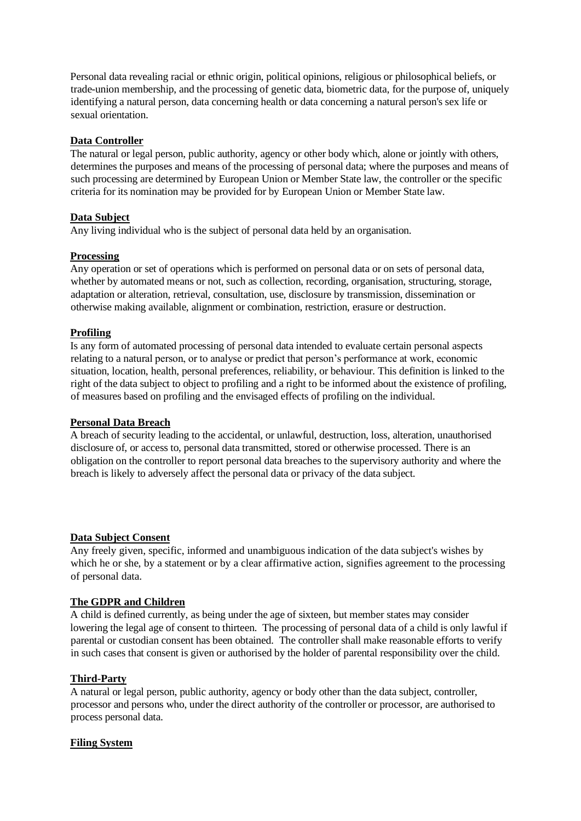Personal data revealing racial or ethnic origin, political opinions, religious or philosophical beliefs, or trade-union membership, and the processing of genetic data, biometric data, for the purpose of, uniquely identifying a natural person, data concerning health or data concerning a natural person's sex life or sexual orientation.

### **Data Controller**

The natural or legal person, public authority, agency or other body which, alone or jointly with others, determines the purposes and means of the processing of personal data; where the purposes and means of such processing are determined by European Union or Member State law, the controller or the specific criteria for its nomination may be provided for by European Union or Member State law.

### **Data Subject**

Any living individual who is the subject of personal data held by an organisation.

### **Processing**

Any operation or set of operations which is performed on personal data or on sets of personal data, whether by automated means or not, such as collection, recording, organisation, structuring, storage, adaptation or alteration, retrieval, consultation, use, disclosure by transmission, dissemination or otherwise making available, alignment or combination, restriction, erasure or destruction.

### **Profiling**

Is any form of automated processing of personal data intended to evaluate certain personal aspects relating to a natural person, or to analyse or predict that person's performance at work, economic situation, location, health, personal preferences, reliability, or behaviour. This definition is linked to the right of the data subject to object to profiling and a right to be informed about the existence of profiling, of measures based on profiling and the envisaged effects of profiling on the individual.

### **Personal Data Breach**

A breach of security leading to the accidental, or unlawful, destruction, loss, alteration, unauthorised disclosure of, or access to, personal data transmitted, stored or otherwise processed. There is an obligation on the controller to report personal data breaches to the supervisory authority and where the breach is likely to adversely affect the personal data or privacy of the data subject.

### **Data Subject Consent**

Any freely given, specific, informed and unambiguous indication of the data subject's wishes by which he or she, by a statement or by a clear affirmative action, signifies agreement to the processing of personal data.

### **The GDPR and Children**

A child is defined currently, as being under the age of sixteen, but member states may consider lowering the legal age of consent to thirteen. The processing of personal data of a child is only lawful if parental or custodian consent has been obtained. The controller shall make reasonable efforts to verify in such cases that consent is given or authorised by the holder of parental responsibility over the child.

## **Third-Party**

A natural or legal person, public authority, agency or body other than the data subject, controller, processor and persons who, under the direct authority of the controller or processor, are authorised to process personal data.

### **Filing System**